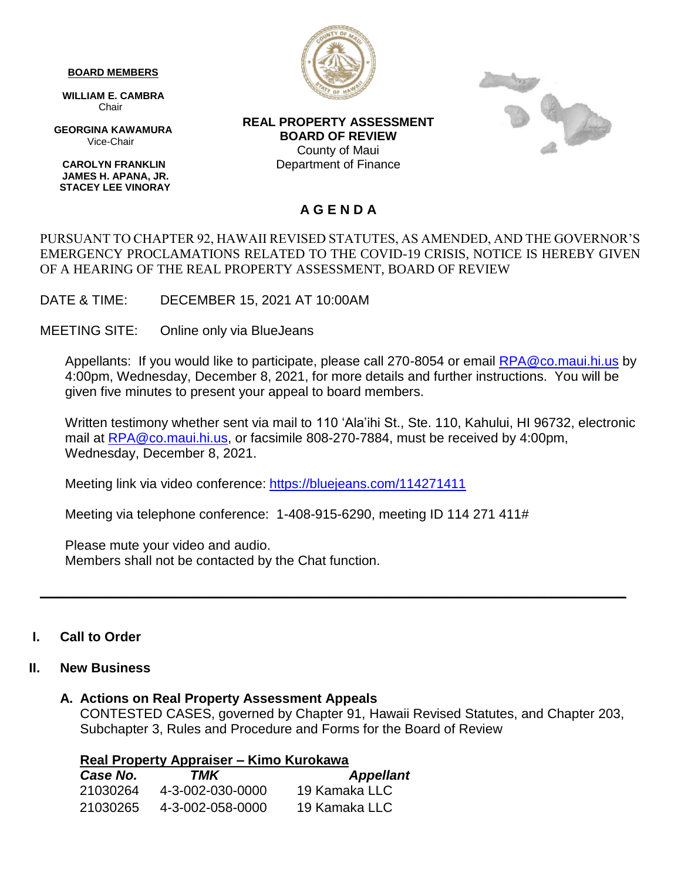#### **BOARD MEMBERS**

 **WILLIAM E. CAMBRA** Chair

 **GEORGINA KAWAMURA** Vice-Chair

 **CAROLYN FRANKLIN JAMES H. APANA, JR. STACEY LEE VINORAY**



**REAL PROPERTY ASSESSMENT BOARD OF REVIEW** County of Maui Department of Finance



### **A G E N D A**

#### PURSUANT TO CHAPTER 92, HAWAII REVISED STATUTES, AS AMENDED, AND THE GOVERNOR'S EMERGENCY PROCLAMATIONS RELATED TO THE COVID-19 CRISIS, NOTICE IS HEREBY GIVEN OF A HEARING OF THE REAL PROPERTY ASSESSMENT, BOARD OF REVIEW

DATE & TIME: DECEMBER 15, 2021 AT 10:00AM

MEETING SITE: Online only via BlueJeans

Appellants: If you would like to participate, please call 270-8054 or email [RPA@co.maui.hi.us](mailto:RPA@co.maui.hi.us) by 4:00pm, Wednesday, December 8, 2021, for more details and further instructions. You will be given five minutes to present your appeal to board members.

Written testimony whether sent via mail to 110 'Ala'ihi St., Ste. 110, Kahului, HI 96732, electronic mail at [RPA@co.maui.hi.us,](mailto:RPA@co.maui.hi.us) or facsimile 808-270-7884, must be received by 4:00pm, Wednesday, December 8, 2021.

Meeting link via video conference: <https://bluejeans.com/114271411>

Meeting via telephone conference: 1-408-915-6290, meeting ID 114 271 411#

Please mute your video and audio. Members shall not be contacted by the Chat function.

#### **I. Call to Order**

#### **II. New Business**

## **A. Actions on Real Property Assessment Appeals**

CONTESTED CASES, governed by Chapter 91, Hawaii Revised Statutes, and Chapter 203, Subchapter 3, Rules and Procedure and Forms for the Board of Review

**\_\_\_\_\_\_\_\_\_\_\_\_\_\_\_\_\_\_\_\_\_\_\_\_\_\_\_\_\_\_\_\_\_\_\_\_\_\_\_\_\_\_\_\_\_\_\_\_\_\_\_\_\_\_\_\_\_\_\_\_\_\_\_\_\_\_\_\_\_\_\_\_\_\_\_\_\_\_\_**

|  |  |  | Real Property Appraiser – Kimo Kurokawa |  |  |
|--|--|--|-----------------------------------------|--|--|
|--|--|--|-----------------------------------------|--|--|

| <i><b>Case No.</b></i> | TMK              | <b>Appellant</b> |
|------------------------|------------------|------------------|
| 21030264               | 4-3-002-030-0000 | 19 Kamaka LLC    |
| 21030265               | 4-3-002-058-0000 | 19 Kamaka LLC    |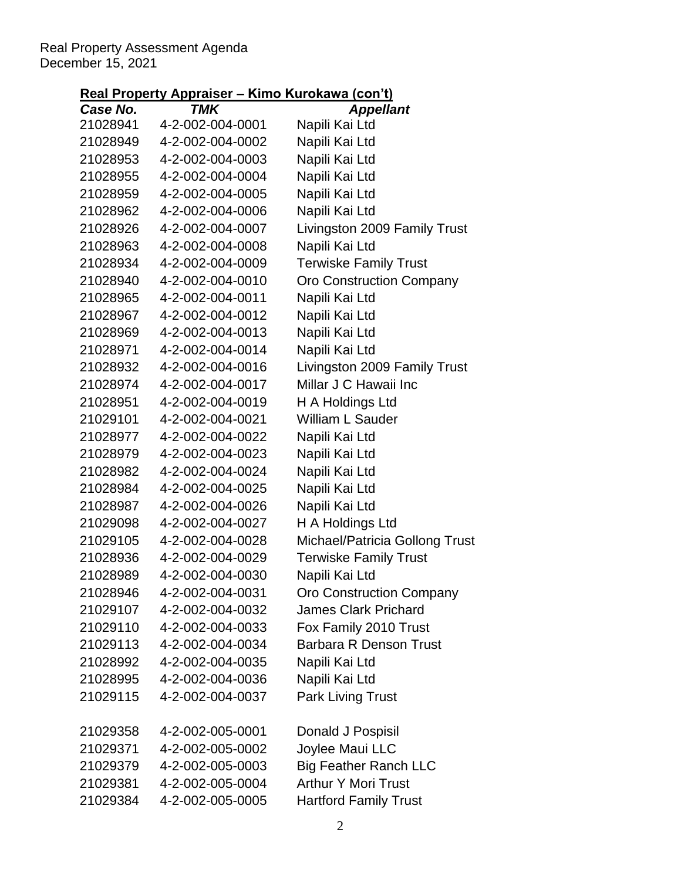#### Real Property Assessment Agenda December 15, 2021

# **Real Property Appraiser – Kimo Kurokawa (con't)**

| Case No. | <b>TMK</b>       | <b>Appellant</b>               |
|----------|------------------|--------------------------------|
| 21028941 | 4-2-002-004-0001 | Napili Kai Ltd                 |
| 21028949 | 4-2-002-004-0002 | Napili Kai Ltd                 |
| 21028953 | 4-2-002-004-0003 | Napili Kai Ltd                 |
| 21028955 | 4-2-002-004-0004 | Napili Kai Ltd                 |
| 21028959 | 4-2-002-004-0005 | Napili Kai Ltd                 |
| 21028962 | 4-2-002-004-0006 | Napili Kai Ltd                 |
| 21028926 | 4-2-002-004-0007 | Livingston 2009 Family Trust   |
| 21028963 | 4-2-002-004-0008 | Napili Kai Ltd                 |
| 21028934 | 4-2-002-004-0009 | <b>Terwiske Family Trust</b>   |
| 21028940 | 4-2-002-004-0010 | Oro Construction Company       |
| 21028965 | 4-2-002-004-0011 | Napili Kai Ltd                 |
| 21028967 | 4-2-002-004-0012 | Napili Kai Ltd                 |
| 21028969 | 4-2-002-004-0013 | Napili Kai Ltd                 |
| 21028971 | 4-2-002-004-0014 | Napili Kai Ltd                 |
| 21028932 | 4-2-002-004-0016 | Livingston 2009 Family Trust   |
| 21028974 | 4-2-002-004-0017 | Millar J C Hawaii Inc          |
| 21028951 | 4-2-002-004-0019 | H A Holdings Ltd               |
| 21029101 | 4-2-002-004-0021 | <b>William L Sauder</b>        |
| 21028977 | 4-2-002-004-0022 | Napili Kai Ltd                 |
| 21028979 | 4-2-002-004-0023 | Napili Kai Ltd                 |
| 21028982 | 4-2-002-004-0024 | Napili Kai Ltd                 |
| 21028984 | 4-2-002-004-0025 | Napili Kai Ltd                 |
| 21028987 | 4-2-002-004-0026 | Napili Kai Ltd                 |
| 21029098 | 4-2-002-004-0027 | H A Holdings Ltd               |
| 21029105 | 4-2-002-004-0028 | Michael/Patricia Gollong Trust |
| 21028936 | 4-2-002-004-0029 | <b>Terwiske Family Trust</b>   |
| 21028989 | 4-2-002-004-0030 | Napili Kai Ltd                 |
| 21028946 | 4-2-002-004-0031 | Oro Construction Company       |
| 21029107 | 4-2-002-004-0032 | <b>James Clark Prichard</b>    |
| 21029110 | 4-2-002-004-0033 | Fox Family 2010 Trust          |
| 21029113 | 4-2-002-004-0034 | <b>Barbara R Denson Trust</b>  |
| 21028992 | 4-2-002-004-0035 | Napili Kai Ltd                 |
| 21028995 | 4-2-002-004-0036 | Napili Kai Ltd                 |
| 21029115 | 4-2-002-004-0037 | <b>Park Living Trust</b>       |
|          |                  |                                |
| 21029358 | 4-2-002-005-0001 | Donald J Pospisil              |
| 21029371 | 4-2-002-005-0002 | Joylee Maui LLC                |
| 21029379 | 4-2-002-005-0003 | <b>Big Feather Ranch LLC</b>   |
| 21029381 | 4-2-002-005-0004 | <b>Arthur Y Mori Trust</b>     |
| 21029384 | 4-2-002-005-0005 | <b>Hartford Family Trust</b>   |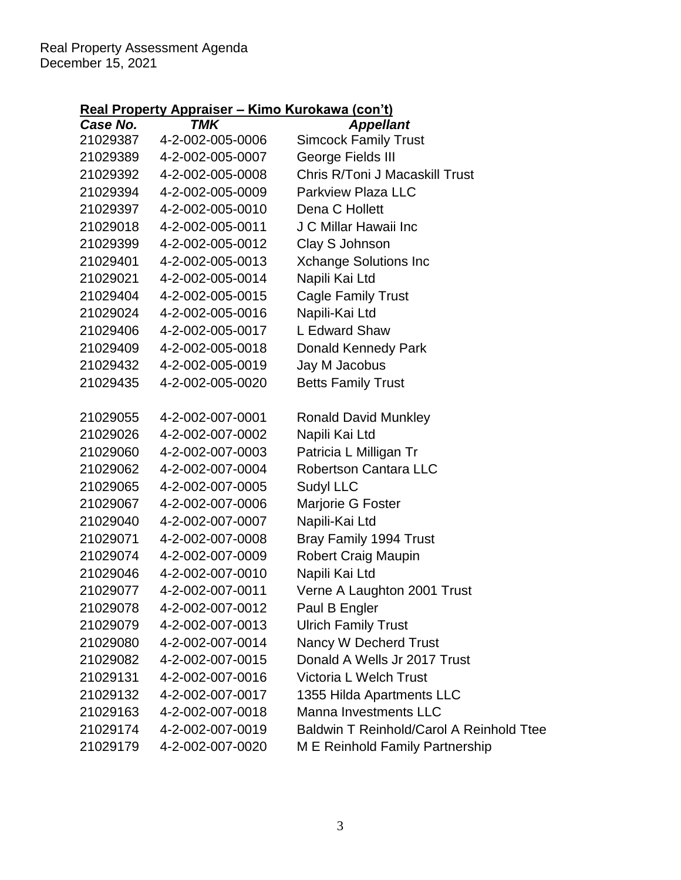# **Real Property Appraiser – Kimo Kurokawa (con't)**

| Case No. | <b>TMK</b>       | <b>Appellant</b>                         |
|----------|------------------|------------------------------------------|
| 21029387 | 4-2-002-005-0006 | <b>Simcock Family Trust</b>              |
| 21029389 | 4-2-002-005-0007 | George Fields III                        |
| 21029392 | 4-2-002-005-0008 | Chris R/Toni J Macaskill Trust           |
| 21029394 | 4-2-002-005-0009 | <b>Parkview Plaza LLC</b>                |
| 21029397 | 4-2-002-005-0010 | Dena C Hollett                           |
| 21029018 | 4-2-002-005-0011 | J C Millar Hawaii Inc                    |
| 21029399 | 4-2-002-005-0012 | Clay S Johnson                           |
| 21029401 | 4-2-002-005-0013 | <b>Xchange Solutions Inc</b>             |
| 21029021 | 4-2-002-005-0014 | Napili Kai Ltd                           |
| 21029404 | 4-2-002-005-0015 | <b>Cagle Family Trust</b>                |
| 21029024 | 4-2-002-005-0016 | Napili-Kai Ltd                           |
| 21029406 | 4-2-002-005-0017 | L Edward Shaw                            |
| 21029409 | 4-2-002-005-0018 | <b>Donald Kennedy Park</b>               |
| 21029432 | 4-2-002-005-0019 | Jay M Jacobus                            |
| 21029435 | 4-2-002-005-0020 | <b>Betts Family Trust</b>                |
|          |                  |                                          |
| 21029055 | 4-2-002-007-0001 | <b>Ronald David Munkley</b>              |
| 21029026 | 4-2-002-007-0002 | Napili Kai Ltd                           |
| 21029060 | 4-2-002-007-0003 | Patricia L Milligan Tr                   |
| 21029062 | 4-2-002-007-0004 | <b>Robertson Cantara LLC</b>             |
| 21029065 | 4-2-002-007-0005 | Sudyl LLC                                |
| 21029067 | 4-2-002-007-0006 | Marjorie G Foster                        |
| 21029040 | 4-2-002-007-0007 | Napili-Kai Ltd                           |
| 21029071 | 4-2-002-007-0008 | Bray Family 1994 Trust                   |
| 21029074 | 4-2-002-007-0009 | <b>Robert Craig Maupin</b>               |
| 21029046 | 4-2-002-007-0010 | Napili Kai Ltd                           |
| 21029077 | 4-2-002-007-0011 | Verne A Laughton 2001 Trust              |
| 21029078 | 4-2-002-007-0012 | Paul B Engler                            |
| 21029079 | 4-2-002-007-0013 | <b>Ulrich Family Trust</b>               |
| 21029080 | 4-2-002-007-0014 | Nancy W Decherd Trust                    |
| 21029082 | 4-2-002-007-0015 | Donald A Wells Jr 2017 Trust             |
| 21029131 | 4-2-002-007-0016 | Victoria L Welch Trust                   |
| 21029132 | 4-2-002-007-0017 | 1355 Hilda Apartments LLC                |
| 21029163 | 4-2-002-007-0018 | Manna Investments LLC                    |
| 21029174 | 4-2-002-007-0019 | Baldwin T Reinhold/Carol A Reinhold Ttee |
| 21029179 | 4-2-002-007-0020 | M E Reinhold Family Partnership          |